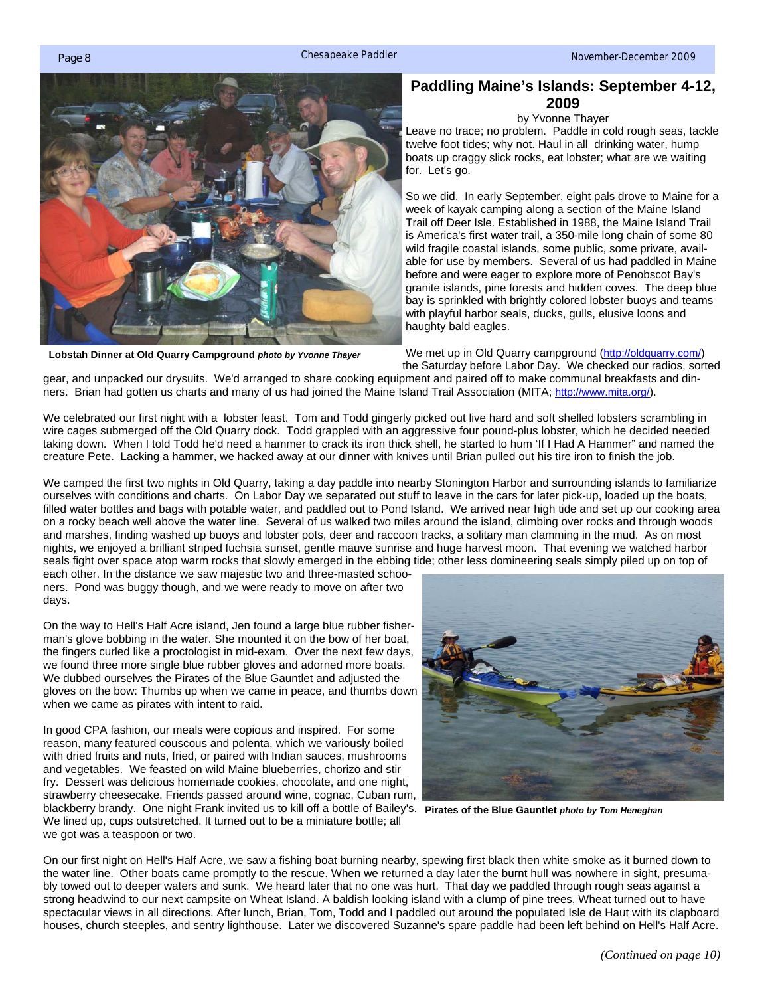<span id="page-0-0"></span>

**Lobstah Dinner at Old Quarry Campground** *photo by Yvonne Thayer* 

## **Paddling Maine's Islands: September 4-12, 2009**

by Yvonne Thayer

Leave no trace; no problem. Paddle in cold rough seas, tackle twelve foot tides; why not. Haul in all drinking water, hump boats up craggy slick rocks, eat lobster; what are we waiting for. Let's go.

So we did. In early September, eight pals drove to Maine for a week of kayak camping along a section of the Maine Island Trail off Deer Isle. Established in 1988, the Maine Island Trail is America's first water trail, a 350-mile long chain of some 80 wild fragile coastal islands, some public, some private, available for use by members. Several of us had paddled in Maine before and were eager to explore more of Penobscot Bay's granite islands, pine forests and hidden coves. The deep blue bay is sprinkled with brightly colored lobster buoys and teams with playful harbor seals, ducks, gulls, elusive loons and haughty bald eagles.

We met up in Old Quarry campgroun[d \(http://oldquarry.com/\)](http://oldquarry.com/)  the Saturday before Labor Day. We checked our radios, sorted

gear, and unpacked our drysuits. We'd arranged to share cooking equipment and paired off to make communal breakfasts and dinners. Brian had gotten us charts and many of us had joined the Maine Island Trail Association (MITA; http://www.mita.org/).

We celebrated our first night with a lobster feast. Tom and Todd gingerly picked out live hard and soft shelled lobsters scrambling in wire cages submerged off the Old Quarry dock. Todd grappled with an aggressive four pound-plus lobster, which he decided needed taking down. When I told Todd he'd need a hammer to crack its iron thick shell, he started to hum 'If I Had A Hammer" and named the creature Pete. Lacking a hammer, we hacked away at our dinner with knives until Brian pulled out his tire iron to finish the job.

We camped the first two nights in Old Quarry, taking a day paddle into nearby Stonington Harbor and surrounding islands to familiarize ourselves with conditions and charts. On Labor Day we separated out stuff to leave in the cars for later pick-up, loaded up the boats, filled water bottles and bags with potable water, and paddled out to Pond Island. We arrived near high tide and set up our cooking area on a rocky beach well above the water line. Several of us walked two miles around the island, climbing over rocks and through woods and marshes, finding washed up buoys and lobster pots, deer and raccoon tracks, a solitary man clamming in the mud. As on most nights, we enjoyed a brilliant striped fuchsia sunset, gentle mauve sunrise and huge harvest moon. That evening we watched harbor seals fight over space atop warm rocks that slowly emerged in the ebbing tide; other less domineering seals simply piled up on top of

each other. In the distance we saw majestic two and three-masted schooners. Pond was buggy though, and we were ready to move on after two days.

On the way to Hell's Half Acre island, Jen found a large blue rubber fisherman's glove bobbing in the water. She mounted it on the bow of her boat, the fingers curled like a proctologist in mid-exam. Over the next few days, we found three more single blue rubber gloves and adorned more boats. We dubbed ourselves the Pirates of the Blue Gauntlet and adjusted the gloves on the bow: Thumbs up when we came in peace, and thumbs down when we came as pirates with intent to raid.

In good CPA fashion, our meals were copious and inspired. For some reason, many featured couscous and polenta, which we variously boiled with dried fruits and nuts, fried, or paired with Indian sauces, mushrooms and vegetables. We feasted on wild Maine blueberries, chorizo and stir fry. Dessert was delicious homemade cookies, chocolate, and one night, strawberry cheesecake. Friends passed around wine, cognac, Cuban rum, blackberry brandy. One night Frank invited us to kill off a bottle of Bailey's. **Pirates of the Blue Gauntlet** *photo by Tom Heneghan*We lined up, cups outstretched. It turned out to be a miniature bottle; all we got was a teaspoon or two.



On our first night on Hell's Half Acre, we saw a fishing boat burning nearby, spewing first black then white smoke as it burned down to the water line. Other boats came promptly to the rescue. When we returned a day later the burnt hull was nowhere in sight, presumably towed out to deeper waters and sunk. We heard later that no one was hurt. That day we paddled through rough seas against a strong headwind to our next campsite on Wheat Island. A baldish looking island with a clump of pine trees, Wheat turned out to have spectacular views in all directions. After lunch, Brian, Tom, Todd and I paddled out around the populated Isle de Haut with its clapboard houses, church steeples, and sentry lighthouse. Later we discovered Suzanne's spare paddle had been left behind on Hell's Half Acre.